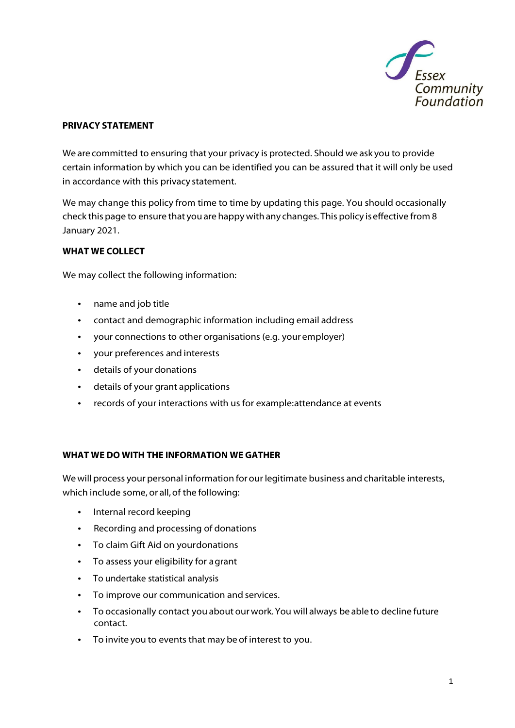

### **PRIVACY STATEMENT**

We arecommitted to ensuring that your privacy is protected. Should we ask you to provide certain information by which you can be identified you can be assured that it will only be used in accordance with this privacy statement.

We may change this policy from time to time by updating this page. You should occasionally check this page to ensure that youare happy withany changes. This policy iseffective from 8 January 2021.

#### **WHAT WE COLLECT**

We may collect the following information:

- name and job title
- contact and demographic information including email address
- your connections to other organisations (e.g. your employer)
- your preferences and interests
- details of your donations
- details of your grant applications
- records of your interactions with us for example:attendance at events

#### **WHAT WE DO WITH THE INFORMATION WE GATHER**

Wewill process your personal information forour legitimate business and charitable interests, which include some, or all, of the following:

- Internal record keeping
- Recording and processing of donations
- To claim Gift Aid on yourdonations
- To assess your eligibility for agrant
- To undertake statistical analysis
- To improve our communication and services.
- To occasionally contact you about ourwork.You will always be able to decline future contact.
- To invite you to events that may be of interest to you.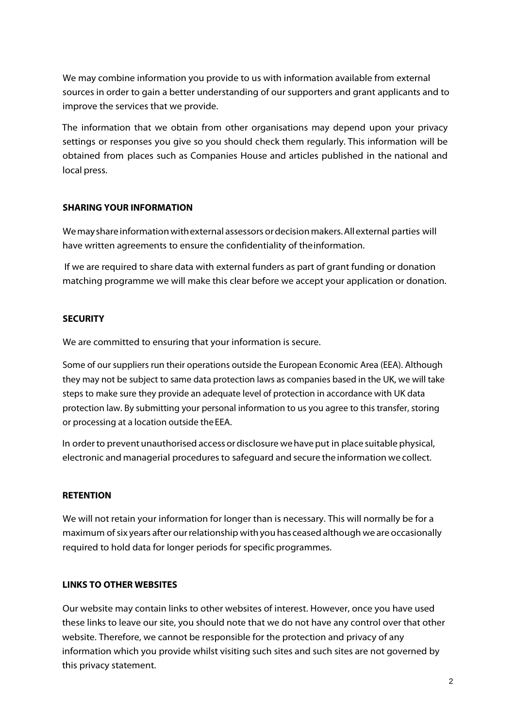We may combine information you provide to us with information available from external sources in order to gain a better understanding of our supporters and grant applicants and to improve the services that we provide.

The information that we obtain from other organisations may depend upon your privacy settings or responses you give so you should check them regularly. This information will be obtained from places such as Companies House and articles published in the national and local press.

## **SHARING YOUR INFORMATION**

Wemayshareinformationwithexternal assessors ordecisionmakers.Allexternal parties will have written agreements to ensure the confidentiality of theinformation.

If we are required to share data with external funders as part of grant funding or donation matching programme we will make this clear before we accept your application or donation.

## **SECURITY**

We are committed to ensuring that your information is secure.

Some of our suppliers run their operations outside the European Economic Area (EEA). Although they may not be subject to same data protection laws as companies based in the UK, we will take steps to make sure they provide an adequate level of protection in accordance with UK data protection law. By submitting your personal information to us you agree to this transfer, storing or processing at a location outside the EEA.

In orderto prevent unauthorised accessordisclosure wehaveput in place suitable physical, electronic and managerial procedures to safeguard and secure the information we collect.

#### **RETENTION**

We will not retain your information for longer than is necessary. This will normally be for a maximum of six years after our relationship with you has ceased although we are occasionally required to hold data for longer periods for specific programmes.

# **LINKS TO OTHER WEBSITES**

Our website may contain links to other websites of interest. However, once you have used these links to leave our site, you should note that we do not have any control over that other website. Therefore, we cannot be responsible for the protection and privacy of any information which you provide whilst visiting such sites and such sites are not governed by this privacy statement.